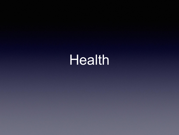Health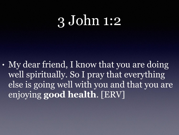# 3 John 1:2

• My dear friend, I know that you are doing well spiritually. So I pray that everything else is going well with you and that you are enjoying **good health**. [ERV]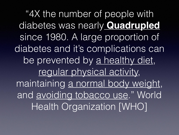"4X the number of people with diabetes was nearly **Quadrupled** since 1980. A large proportion of diabetes and it's complications can be prevented by a healthy diet, regular physical activity, maintaining a normal body weight, and avoiding tobacco use." World Health Organization [WHO]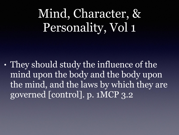### Mind, Character, & Personality, Vol 1

• They should study the influence of the mind upon the body and the body upon the mind, and the laws by which they are governed [control]. p. 1MCP 3.2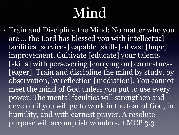# **Mind**

• Train and Discipline the Mind: No matter who you are … the Lord has blessed you with intellectual facilities [services] capable [skills] of vast [huge] improvement. Cultivate [educate] your talents [skills] with persevering [carrying on] earnestness [eager]. Train and discipline the mind by study, by observation, by reflection [mediation]. You cannot meet the mind of God unless you put to use every power. The mental faculties will strengthen and develop if you will go to work in the fear of God, in humility, and with earnest prayer. A resolute purpose will accomplish wonders. 1 MCP 3.3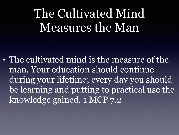#### The Cultivated Mind Measures the Man

• The cultivated mind is the measure of the man. Your education should continue during your lifetime; every day you should be learning and putting to practical use the knowledge gained. 1 MCP 7.2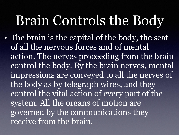# Brain Controls the Body

• The brain is the capital of the body, the seat of all the nervous forces and of mental action. The nerves proceeding from the brain control the body. By the brain nerves, mental impressions are conveyed to all the nerves of the body as by telegraph wires, and they control the vital action of every part of the system. All the organs of motion are governed by the communications they receive from the brain.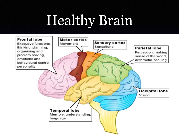# Healthy Brain

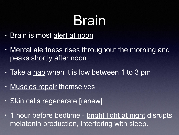# Brain

- Brain is most alert at noon
- Mental alertness rises throughout the morning and peaks shortly after noon
- Take a nap when it is low between 1 to 3 pm
- Muscles repair themselves
- Skin cells regenerate [renew]
- 1 hour before bedtime bright light at night disrupts melatonin production, interfering with sleep.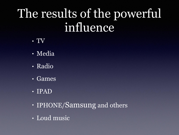### The results of the powerful influence

- TV
- Media
- Radio
- Games
- IPAD
- IPHONE/Samsung and others
- Loud music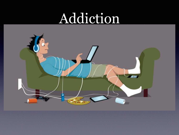# Addiction

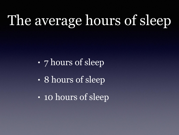# The average hours of sleep

- 7 hours of sleep
- 8 hours of sleep
- 10 hours of sleep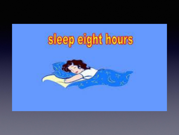# sleep eight hours

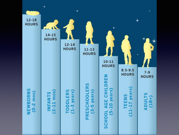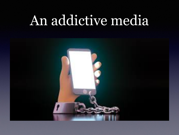# An addictive media

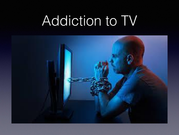# Addiction to TV

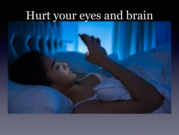#### Hurt your eyes and brain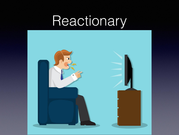# Reactionary

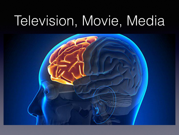# Television, Movie, Media

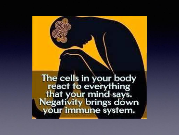The cells in your body react to everything that your mind says.<br>Negativity brings down your immune system.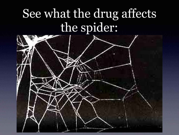#### See what the drug affects the spider:

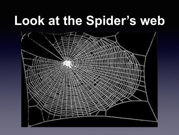# **Look at the Spider's web**

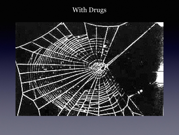#### With Drugs

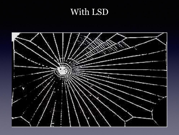#### With LSD

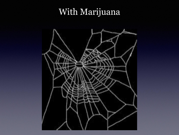#### With Marijuana

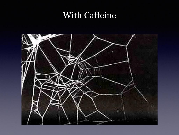#### With Caffeine

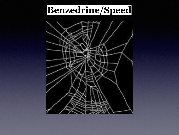#### **Benzedrine/Speed**

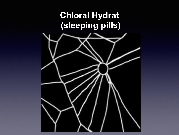#### **Chloral Hydrat (sleeping pills)**

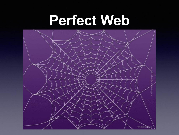### **Perfect Web**

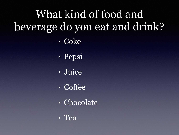#### What kind of food and beverage do you eat and drink?

- Coke
- Pepsi
- Juice
- Coffee
- Chocolate
- Tea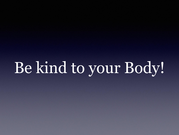Be kind to your Body!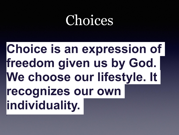## Choices

## **Choice is an expression of freedom given us by God. We choose our lifestyle. It recognizes our own individuality.**

**•**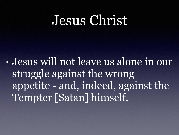### Jesus Christ

• Jesus will not leave us alone in our struggle against the wrong appetite - and, indeed, against the Tempter [Satan] himself.